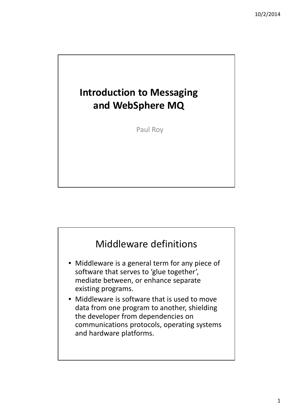# **Introduction to Messaging and WebSphere MQ**

Paul Roy

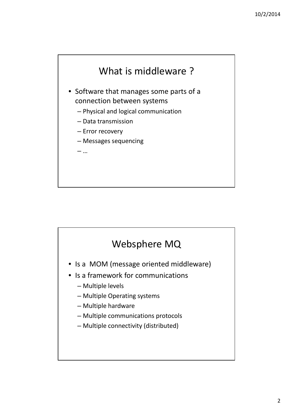

- Software that manages some parts of a connection between systems
	- Physical and logical communication
	- Data transmission
	- Error recovery
	- Messages sequencing
	- …



- Is a MOM (message oriented middleware)
- Is a framework for communications
	- Multiple levels
	- Multiple Operating systems
	- Multiple hardware
	- Multiple communications protocols
	- Multiple connectivity (distributed)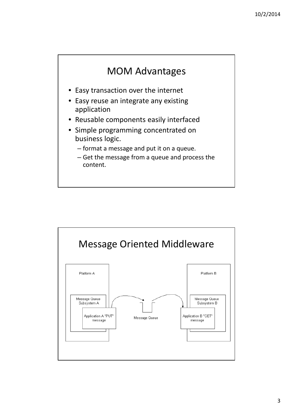#### MOM Advantages

- Easy transaction over the internet
- Easy reuse an integrate any existing application
- Reusable components easily interfaced
- Simple programming concentrated on business logic.
	- format a message and put it on a queue.
	- Get the message from a queue and process the content.

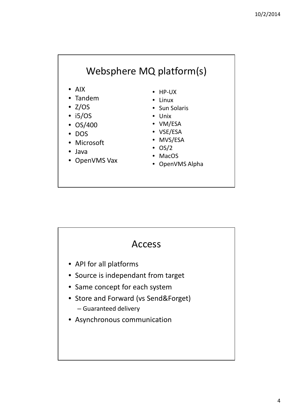### Websphere MQ platform(s)

- AIX
- Tandem
- $\bullet$  Z/OS
- i5/OS
- OS/400
- DOS
- Microsoft
- Java
- OpenVMS Vax
- HP-UX
- Linux
- Sun Solaris
- Unix
- VM/ESA
- VSE/ESA
- MVS/ESA
- $\bullet$  OS/2
- MacOS
- OpenVMS Alpha

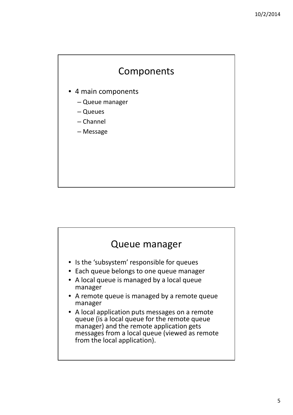#### Components

- 4 main components
	- Queue manager
	- Queues
	- Channel
	- Message

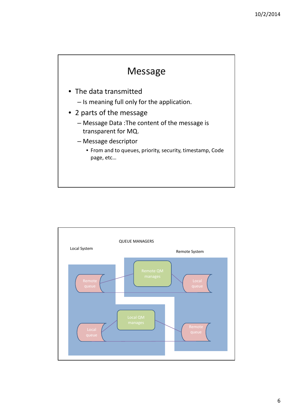

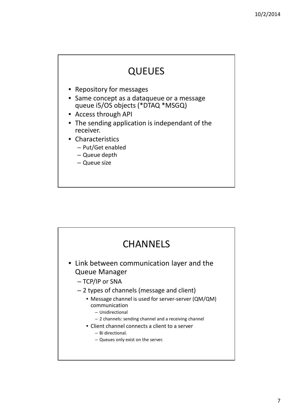## **QUEUES**

- Repository for messages
- Same concept as a dataqueue or a message queue i5/OS objects (\*DTAQ \*MSGQ)
- Access through API
- The sending application is independant of the receiver.
- Characteristics
	- Put/Get enabled
	- Queue depth
	- Queue size

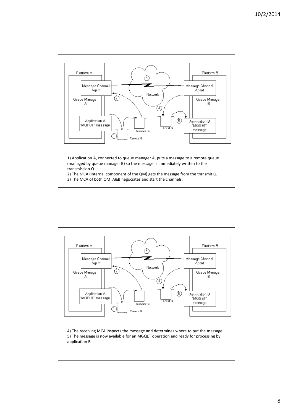

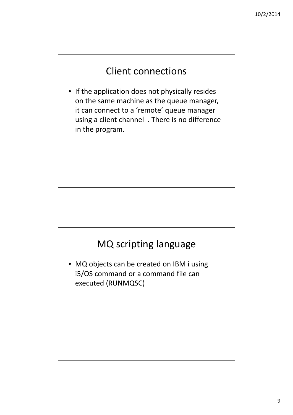### Client connections

• If the application does not physically resides on the same machine as the queue manager, it can connect to a 'remote' queue manager using a client channel . There is no difference in the program.



executed (RUNMQSC)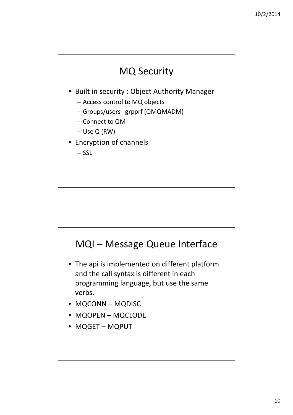## MQ Security

- Built in security : Object Authority Manager
	- Access control to MQ objects
	- Groups/users grpprf (QMQMADM)
	- Connect to QM
	- Use Q (RW)
- Encryption of channels
	- SSL

# MQI – Message Queue Interface

- The api is implemented on different platform and the call syntax is different in each programming language, but use the same verbs.
- MQCONN MQDISC
- MQOPEN MQCLODE
- MQGET MQPUT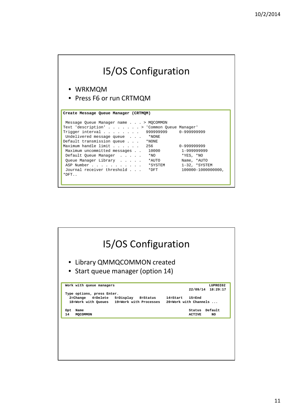| <b>15/OS Configuration</b>                                                                                                                                                                                                                                                                                                                                                                                                                                             |                                                                                                                             |
|------------------------------------------------------------------------------------------------------------------------------------------------------------------------------------------------------------------------------------------------------------------------------------------------------------------------------------------------------------------------------------------------------------------------------------------------------------------------|-----------------------------------------------------------------------------------------------------------------------------|
| • WRKMQM<br>• Press F6 or run CRTMQM                                                                                                                                                                                                                                                                                                                                                                                                                                   |                                                                                                                             |
| Create Message Queue Manager (CRTMOM)<br>Message Queue Manager name > MQCOMMON<br>Text 'description' > 'Common Queue Manager'<br>Trigger interval $\ldots$<br>Undelivered message queue<br>*NONE<br>Default transmission queue<br>$*$ NONE<br>Maximum handle limit<br>Maximum uncommitted messages<br>10000<br>Default Queue Manager<br>$*_{\text{NO}}$<br>Queue Manager Library<br>*AUTO<br>ASP Number<br>*SYSTEM<br>Journal receiver threshold<br>$*$ DFT<br>$*$ DFT | 999999999 0-999999999<br>0-999999999<br>1-999999999<br>$*YES, *NO$<br>Name, *AUTO<br>$1-32$ , *SYSTEM<br>100000-1000000000, |